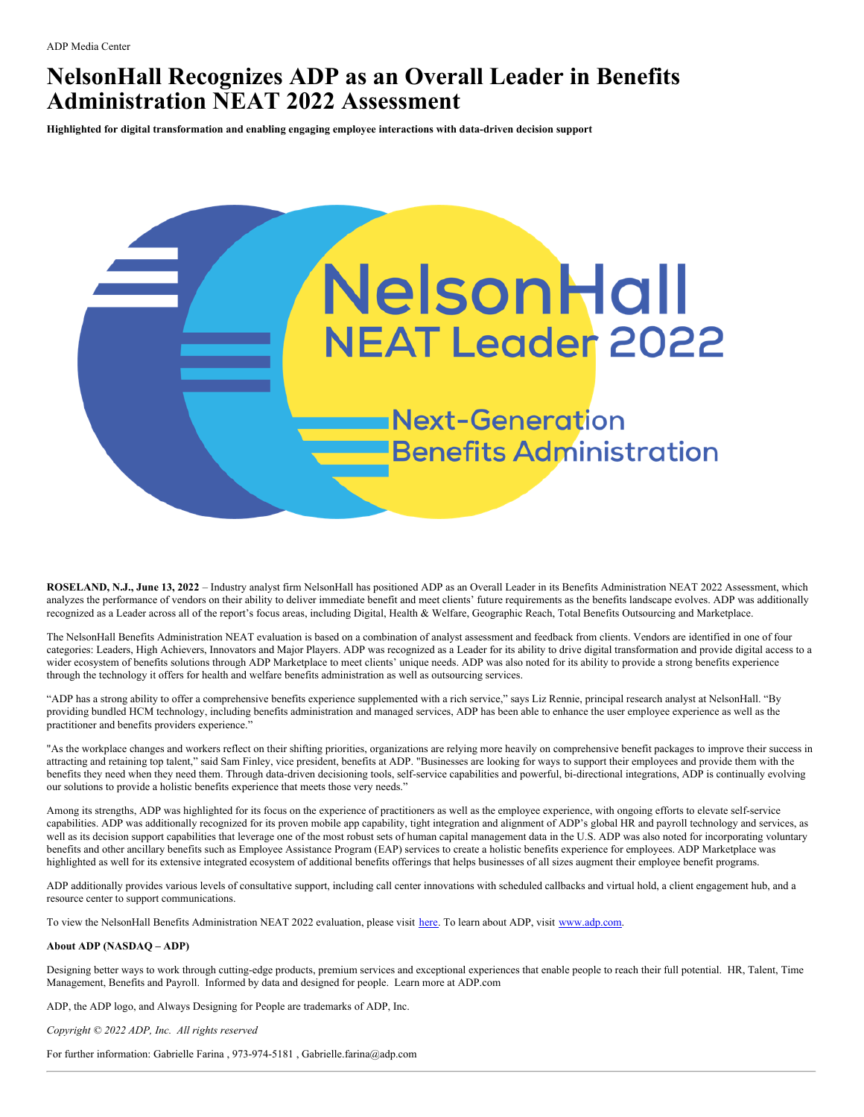## **NelsonHall Recognizes ADP as an Overall Leader in Benefits Administration NEAT 2022 Assessment**

**Highlighted for digital transformation and enabling engaging employee interactions with data-driven decision support**



**ROSELAND, N.J., June 13, 2022** – Industry analyst firm NelsonHall has positioned ADP as an Overall Leader in its Benefits Administration NEAT 2022 Assessment, which analyzes the performance of vendors on their ability to deliver immediate benefit and meet clients' future requirements as the benefits landscape evolves. ADP was additionally recognized as a Leader across all of the report's focus areas, including Digital, Health & Welfare, Geographic Reach, Total Benefits Outsourcing and Marketplace.

The NelsonHall Benefits Administration NEAT evaluation is based on a combination of analyst assessment and feedback from clients. Vendors are identified in one of four categories: Leaders, High Achievers, Innovators and Major Players. ADP was recognized as a Leader for its ability to drive digital transformation and provide digital access to a wider ecosystem of benefits solutions through ADP Marketplace to meet clients' unique needs. ADP was also noted for its ability to provide a strong benefits experience through the technology it offers for health and welfare benefits administration as well as outsourcing services.

"ADP has a strong ability to offer a comprehensive benefits experience supplemented with a rich service," says Liz Rennie, principal research analyst at NelsonHall. "By providing bundled HCM technology, including benefits administration and managed services, ADP has been able to enhance the user employee experience as well as the practitioner and benefits providers experience."

"As the workplace changes and workers reflect on their shifting priorities, organizations are relying more heavily on comprehensive benefit packages to improve their success in attracting and retaining top talent," said Sam Finley, vice president, benefits at ADP. "Businesses are looking for ways to support their employees and provide them with the benefits they need when they need them. Through data-driven decisioning tools, self-service capabilities and powerful, bi-directional integrations, ADP is continually evolving our solutions to provide a holistic benefits experience that meets those very needs."

Among its strengths, ADP was highlighted for its focus on the experience of practitioners as well as the employee experience, with ongoing efforts to elevate self-service capabilities. ADP was additionally recognized for its proven mobile app capability, tight integration and alignment of ADP's global HR and payroll technology and services, as well as its decision support capabilities that leverage one of the most robust sets of human capital management data in the U.S. ADP was also noted for incorporating voluntary benefits and other ancillary benefits such as Employee Assistance Program (EAP) services to create a holistic benefits experience for employees. ADP Marketplace was highlighted as well for its extensive integrated ecosystem of additional benefits offerings that helps businesses of all sizes augment their employee benefit programs.

ADP additionally provides various levels of consultative support, including call center innovations with scheduled callbacks and virtual hold, a client engagement hub, and a resource center to support communications.

To view the NelsonHall Benefits Administration NEAT 2022 evaluation, please visit [here.](https://www.adp.com/resources/what-others-say/analyst-reports/nelsonhall-neat-leader-2022-benefits-administration.aspx) To learn about ADP, visit [www.adp.com](http://www.adp.com/).

## **About ADP (NASDAQ – ADP)**

Designing better ways to work through cutting-edge products, premium services and exceptional experiences that enable people to reach their full potential. HR, Talent, Time Management, Benefits and Payroll. Informed by data and designed for people. Learn more at ADP.com

ADP, the ADP logo, and Always Designing for People are trademarks of ADP, Inc.

*Copyright © 2022 ADP, Inc. All rights reserved*

For further information: Gabrielle Farina , 973-974-5181 , Gabrielle.farina@adp.com